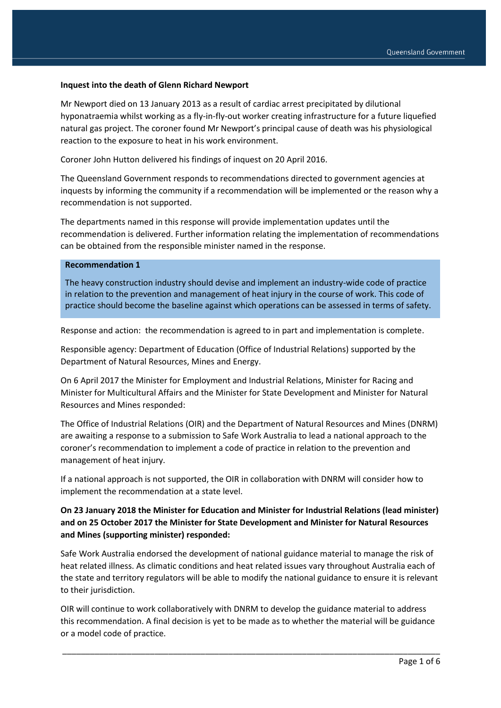#### **Inquest into the death of Glenn Richard Newport**

Mr Newport died on 13 January 2013 as a result of cardiac arrest precipitated by dilutional hyponatraemia whilst working as a fly-in-fly-out worker creating infrastructure for a future liquefied natural gas project. The coroner found Mr Newport's principal cause of death was his physiological reaction to the exposure to heat in his work environment.

Coroner John Hutton delivered his findings of inquest on 20 April 2016.

The Queensland Government responds to recommendations directed to government agencies at inquests by informing the community if a recommendation will be implemented or the reason why a recommendation is not supported.

The departments named in this response will provide implementation updates until the recommendation is delivered. Further information relating the implementation of recommendations can be obtained from the responsible minister named in the response.

### **Recommendation 1**

The heavy construction industry should devise and implement an industry-wide code of practice in relation to the prevention and management of heat injury in the course of work. This code of practice should become the baseline against which operations can be assessed in terms of safety.

Response and action: the recommendation is agreed to in part and implementation is complete.

Responsible agency: Department of Education (Office of Industrial Relations) supported by the Department of Natural Resources, Mines and Energy.

On 6 April 2017 the Minister for Employment and Industrial Relations, Minister for Racing and Minister for Multicultural Affairs and the Minister for State Development and Minister for Natural Resources and Mines responded:

The Office of Industrial Relations (OIR) and the Department of Natural Resources and Mines (DNRM) are awaiting a response to a submission to Safe Work Australia to lead a national approach to the coroner's recommendation to implement a code of practice in relation to the prevention and management of heat injury.

If a national approach is not supported, the OIR in collaboration with DNRM will consider how to implement the recommendation at a state level.

## **On 23 January 2018 the Minister for Education and Minister for Industrial Relations (lead minister) and on 25 October 2017 the Minister for State Development and Minister for Natural Resources and Mines (supporting minister) responded:**

Safe Work Australia endorsed the development of national guidance material to manage the risk of heat related illness. As climatic conditions and heat related issues vary throughout Australia each of the state and territory regulators will be able to modify the national guidance to ensure it is relevant to their jurisdiction.

OIR will continue to work collaboratively with DNRM to develop the guidance material to address this recommendation. A final decision is yet to be made as to whether the material will be guidance or a model code of practice.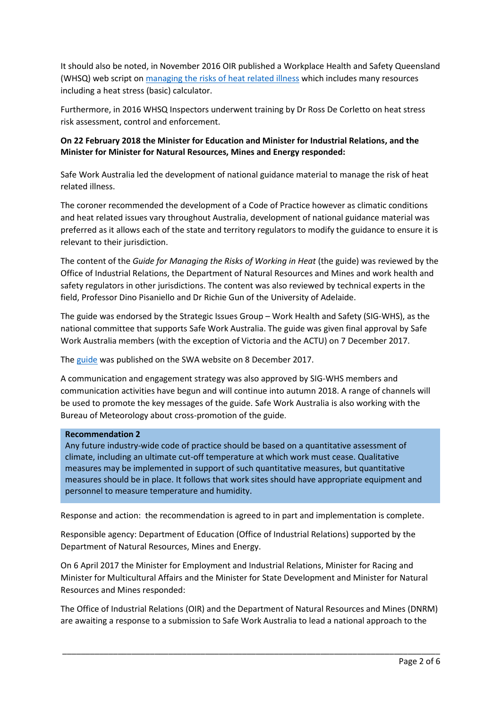It should also be noted, in November 2016 OIR published a Workplace Health and Safety Queensland (WHSQ) web script on [managing the risks of heat related illness](https://www.worksafe.qld.gov.au/injury-prevention-safety/hazardous-exposures/heat-stress) which includes many resources including a heat stress (basic) calculator.

Furthermore, in 2016 WHSQ Inspectors underwent training by Dr Ross De Corletto on heat stress risk assessment, control and enforcement.

## **On 22 February 2018 the Minister for Education and Minister for Industrial Relations, and the Minister for Minister for Natural Resources, Mines and Energy responded:**

Safe Work Australia led the development of national guidance material to manage the risk of heat related illness.

The coroner recommended the development of a Code of Practice however as climatic conditions and heat related issues vary throughout Australia, development of national guidance material was preferred as it allows each of the state and territory regulators to modify the guidance to ensure it is relevant to their jurisdiction.

The content of the *Guide for Managing the Risks of Working in Heat* (the guide) was reviewed by the Office of Industrial Relations, the Department of Natural Resources and Mines and work health and safety regulators in other jurisdictions. The content was also reviewed by technical experts in the field, Professor Dino Pisaniello and Dr Richie Gun of the University of Adelaide.

The guide was endorsed by the Strategic Issues Group – Work Health and Safety (SIG-WHS), as the national committee that supports Safe Work Australia. The guide was given final approval by Safe Work Australia members (with the exception of Victoria and the ACTU) on 7 December 2017.

The [guide](https://www.safeworkaustralia.gov.au/doc/guide-managing-risks-working-heat) was published on the SWA website on 8 December 2017.

A communication and engagement strategy was also approved by SIG-WHS members and communication activities have begun and will continue into autumn 2018. A range of channels will be used to promote the key messages of the guide. Safe Work Australia is also working with the Bureau of Meteorology about cross-promotion of the guide.

### **Recommendation 2**

Any future industry-wide code of practice should be based on a quantitative assessment of climate, including an ultimate cut-off temperature at which work must cease. Qualitative measures may be implemented in support of such quantitative measures, but quantitative measures should be in place. It follows that work sites should have appropriate equipment and personnel to measure temperature and humidity.

Response and action: the recommendation is agreed to in part and implementation is complete.

Responsible agency: Department of Education (Office of Industrial Relations) supported by the Department of Natural Resources, Mines and Energy.

On 6 April 2017 the Minister for Employment and Industrial Relations, Minister for Racing and Minister for Multicultural Affairs and the Minister for State Development and Minister for Natural Resources and Mines responded:

The Office of Industrial Relations (OIR) and the Department of Natural Resources and Mines (DNRM) are awaiting a response to a submission to Safe Work Australia to lead a national approach to the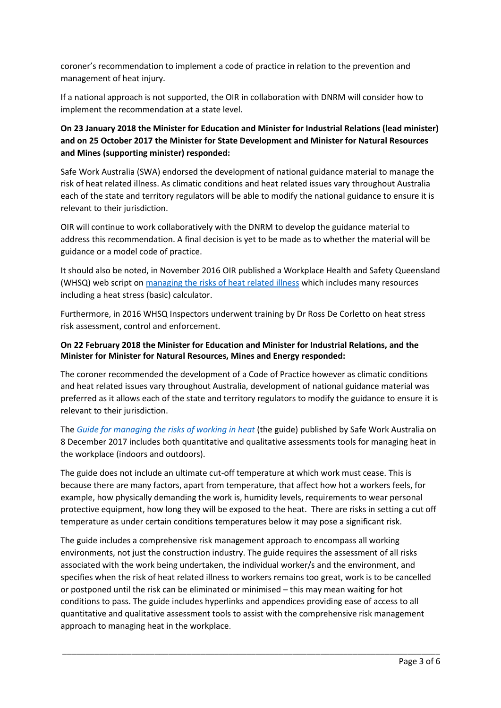coroner's recommendation to implement a code of practice in relation to the prevention and management of heat injury.

If a national approach is not supported, the OIR in collaboration with DNRM will consider how to implement the recommendation at a state level.

# **On 23 January 2018 the Minister for Education and Minister for Industrial Relations (lead minister) and on 25 October 2017 the Minister for State Development and Minister for Natural Resources and Mines (supporting minister) responded:**

Safe Work Australia (SWA) endorsed the development of national guidance material to manage the risk of heat related illness. As climatic conditions and heat related issues vary throughout Australia each of the state and territory regulators will be able to modify the national guidance to ensure it is relevant to their jurisdiction.

OIR will continue to work collaboratively with the DNRM to develop the guidance material to address this recommendation. A final decision is yet to be made as to whether the material will be guidance or a model code of practice.

It should also be noted, in November 2016 OIR published a Workplace Health and Safety Queensland (WHSQ) web script on [managing the risks of heat related illness](https://www.worksafe.qld.gov.au/injury-prevention-safety/hazardous-exposures/heat-stress) which includes many resources including a heat stress (basic) calculator.

Furthermore, in 2016 WHSQ Inspectors underwent training by Dr Ross De Corletto on heat stress risk assessment, control and enforcement.

## **On 22 February 2018 the Minister for Education and Minister for Industrial Relations, and the Minister for Minister for Natural Resources, Mines and Energy responded:**

The coroner recommended the development of a Code of Practice however as climatic conditions and heat related issues vary throughout Australia, development of national guidance material was preferred as it allows each of the state and territory regulators to modify the guidance to ensure it is relevant to their jurisdiction.

The *[Guide for managing the risks of working in heat](https://www.safeworkaustralia.gov.au/doc/guide-managing-risks-working-heat)* (the guide) published by Safe Work Australia on 8 December 2017 includes both quantitative and qualitative assessments tools for managing heat in the workplace (indoors and outdoors).

The guide does not include an ultimate cut-off temperature at which work must cease. This is because there are many factors, apart from temperature, that affect how hot a workers feels, for example, how physically demanding the work is, humidity levels, requirements to wear personal protective equipment, how long they will be exposed to the heat. There are risks in setting a cut off temperature as under certain conditions temperatures below it may pose a significant risk.

The guide includes a comprehensive risk management approach to encompass all working environments, not just the construction industry. The guide requires the assessment of all risks associated with the work being undertaken, the individual worker/s and the environment, and specifies when the risk of heat related illness to workers remains too great, work is to be cancelled or postponed until the risk can be eliminated or minimised – this may mean waiting for hot conditions to pass. The guide includes hyperlinks and appendices providing ease of access to all quantitative and qualitative assessment tools to assist with the comprehensive risk management approach to managing heat in the workplace.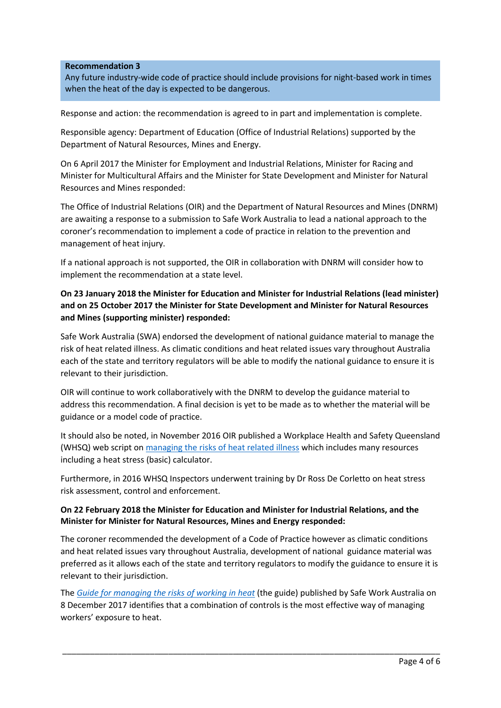### **Recommendation 3**

Any future industry-wide code of practice should include provisions for night-based work in times when the heat of the day is expected to be dangerous.

Response and action: the recommendation is agreed to in part and implementation is complete.

Responsible agency: Department of Education (Office of Industrial Relations) supported by the Department of Natural Resources, Mines and Energy.

On 6 April 2017 the Minister for Employment and Industrial Relations, Minister for Racing and Minister for Multicultural Affairs and the Minister for State Development and Minister for Natural Resources and Mines responded:

The Office of Industrial Relations (OIR) and the Department of Natural Resources and Mines (DNRM) are awaiting a response to a submission to Safe Work Australia to lead a national approach to the coroner's recommendation to implement a code of practice in relation to the prevention and management of heat injury.

If a national approach is not supported, the OIR in collaboration with DNRM will consider how to implement the recommendation at a state level.

# **On 23 January 2018 the Minister for Education and Minister for Industrial Relations (lead minister) and on 25 October 2017 the Minister for State Development and Minister for Natural Resources and Mines (supporting minister) responded:**

Safe Work Australia (SWA) endorsed the development of national guidance material to manage the risk of heat related illness. As climatic conditions and heat related issues vary throughout Australia each of the state and territory regulators will be able to modify the national guidance to ensure it is relevant to their jurisdiction.

OIR will continue to work collaboratively with the DNRM to develop the guidance material to address this recommendation. A final decision is yet to be made as to whether the material will be guidance or a model code of practice.

It should also be noted, in November 2016 OIR published a Workplace Health and Safety Queensland (WHSQ) web script on [managing the risks of heat related illness](https://www.worksafe.qld.gov.au/injury-prevention-safety/hazardous-exposures/heat-stress) which includes many resources including a heat stress (basic) calculator.

Furthermore, in 2016 WHSQ Inspectors underwent training by Dr Ross De Corletto on heat stress risk assessment, control and enforcement.

### **On 22 February 2018 the Minister for Education and Minister for Industrial Relations, and the Minister for Minister for Natural Resources, Mines and Energy responded:**

The coroner recommended the development of a Code of Practice however as climatic conditions and heat related issues vary throughout Australia, development of national guidance material was preferred as it allows each of the state and territory regulators to modify the guidance to ensure it is relevant to their jurisdiction.

The *[Guide for managing the risks of working in heat](https://www.safeworkaustralia.gov.au/doc/guide-managing-risks-working-heat)* (the guide) published by Safe Work Australia on 8 December 2017 identifies that a combination of controls is the most effective way of managing workers' exposure to heat.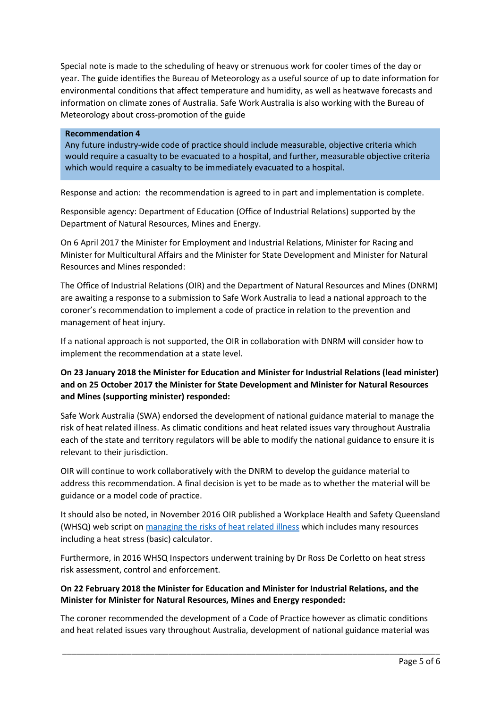Special note is made to the scheduling of heavy or strenuous work for cooler times of the day or year. The guide identifies the Bureau of Meteorology as a useful source of up to date information for environmental conditions that affect temperature and humidity, as well as heatwave forecasts and information on climate zones of Australia. Safe Work Australia is also working with the Bureau of Meteorology about cross-promotion of the guide

#### **Recommendation 4**

Any future industry-wide code of practice should include measurable, objective criteria which would require a casualty to be evacuated to a hospital, and further, measurable objective criteria which would require a casualty to be immediately evacuated to a hospital.

Response and action: the recommendation is agreed to in part and implementation is complete.

Responsible agency: Department of Education (Office of Industrial Relations) supported by the Department of Natural Resources, Mines and Energy.

On 6 April 2017 the Minister for Employment and Industrial Relations, Minister for Racing and Minister for Multicultural Affairs and the Minister for State Development and Minister for Natural Resources and Mines responded:

The Office of Industrial Relations (OIR) and the Department of Natural Resources and Mines (DNRM) are awaiting a response to a submission to Safe Work Australia to lead a national approach to the coroner's recommendation to implement a code of practice in relation to the prevention and management of heat injury.

If a national approach is not supported, the OIR in collaboration with DNRM will consider how to implement the recommendation at a state level.

# **On 23 January 2018 the Minister for Education and Minister for Industrial Relations (lead minister) and on 25 October 2017 the Minister for State Development and Minister for Natural Resources and Mines (supporting minister) responded:**

Safe Work Australia (SWA) endorsed the development of national guidance material to manage the risk of heat related illness. As climatic conditions and heat related issues vary throughout Australia each of the state and territory regulators will be able to modify the national guidance to ensure it is relevant to their jurisdiction.

OIR will continue to work collaboratively with the DNRM to develop the guidance material to address this recommendation. A final decision is yet to be made as to whether the material will be guidance or a model code of practice.

It should also be noted, in November 2016 OIR published a Workplace Health and Safety Queensland (WHSQ) web script on [managing the risks of heat related illness](https://www.worksafe.qld.gov.au/injury-prevention-safety/hazardous-exposures/heat-stress) which includes many resources including a heat stress (basic) calculator.

Furthermore, in 2016 WHSQ Inspectors underwent training by Dr Ross De Corletto on heat stress risk assessment, control and enforcement.

## **On 22 February 2018 the Minister for Education and Minister for Industrial Relations, and the Minister for Minister for Natural Resources, Mines and Energy responded:**

The coroner recommended the development of a Code of Practice however as climatic conditions and heat related issues vary throughout Australia, development of national guidance material was